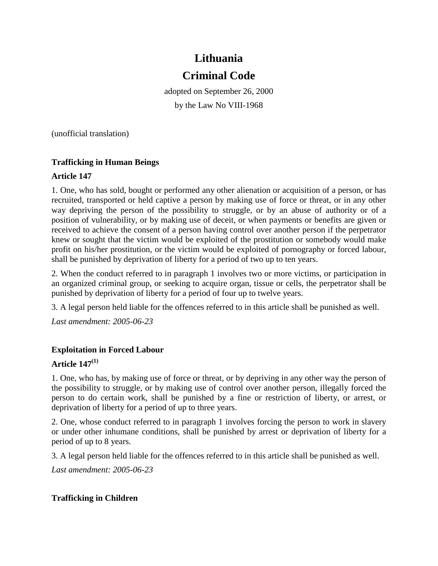# **Lithuania Criminal Code**

adopted on September 26, 2000 by the Law No VIII-1968

(unofficial translation)

## **Trafficking in Human Beings**

## **Article 147**

1. One, who has sold, bought or performed any other alienation or acquisition of a person, or has recruited, transported or held captive a person by making use of force or threat, or in any other way depriving the person of the possibility to struggle, or by an abuse of authority or of a position of vulnerability, or by making use of deceit, or when payments or benefits are given or received to achieve the consent of a person having control over another person if the perpetrator knew or sought that the victim would be exploited of the prostitution or somebody would make profit on his/her prostitution, or the victim would be exploited of pornography or forced labour, shall be punished by deprivation of liberty for a period of two up to ten years.

2. When the conduct referred to in paragraph 1 involves two or more victims, or participation in an organized criminal group, or seeking to acquire organ, tissue or cells, the perpetrator shall be punished by deprivation of liberty for a period of four up to twelve years.

3. A legal person held liable for the offences referred to in this article shall be punished as well.

*Last amendment: 2005-06-23*

# **Exploitation in Forced Labour**

#### **Article 147(1)**

1. One, who has, by making use of force or threat, or by depriving in any other way the person of the possibility to struggle, or by making use of control over another person, illegally forced the person to do certain work, shall be punished by a fine or restriction of liberty, or arrest, or deprivation of liberty for a period of up to three years.

2. One, whose conduct referred to in paragraph 1 involves forcing the person to work in slavery or under other inhumane conditions, shall be punished by arrest or deprivation of liberty for a period of up to 8 years.

3. A legal person held liable for the offences referred to in this article shall be punished as well.

*Last amendment: 2005-06-23* 

# **Trafficking in Children**